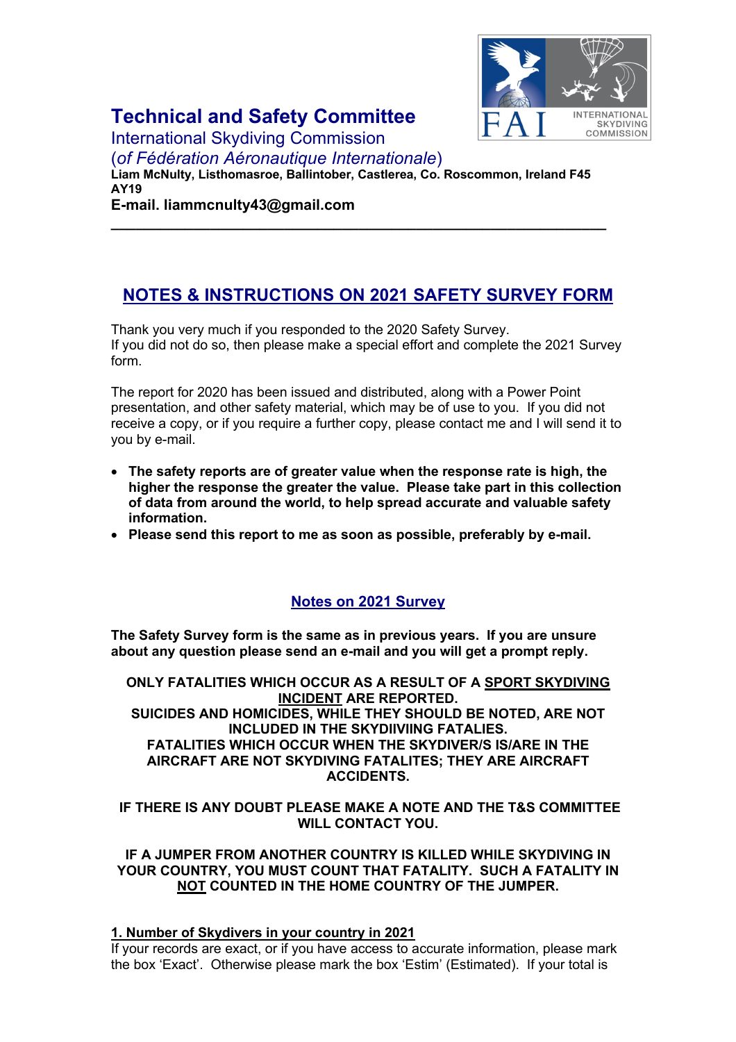

# **Technical and Safety Committee**

International Skydiving Commission

(*of Fédération Aéronautique Internationale*)

**Liam McNulty, Listhomasroe, Ballintober, Castlerea, Co. Roscommon, Ireland F45 AY19**

**\_\_\_\_\_\_\_\_\_\_\_\_\_\_\_\_\_\_\_\_\_\_\_\_\_\_\_\_\_\_\_\_\_\_\_\_\_\_\_\_\_\_\_\_\_\_\_\_\_\_\_\_\_\_\_\_\_\_\_\_**

**E-mail. liammcnulty43@gmail.com**

## **NOTES & INSTRUCTIONS ON 2021 SAFETY SURVEY FORM**

Thank you very much if you responded to the 2020 Safety Survey. If you did not do so, then please make a special effort and complete the 2021 Survey form.

The report for 2020 has been issued and distributed, along with a Power Point presentation, and other safety material, which may be of use to you. If you did not receive a copy, or if you require a further copy, please contact me and I will send it to you by e-mail.

- **The safety reports are of greater value when the response rate is high, the higher the response the greater the value. Please take part in this collection of data from around the world, to help spread accurate and valuable safety information.**
- **Please send this report to me as soon as possible, preferably by e-mail.**

## **Notes on 2021 Survey**

**The Safety Survey form is the same as in previous years. If you are unsure about any question please send an e-mail and you will get a prompt reply.**

**ONLY FATALITIES WHICH OCCUR AS A RESULT OF A SPORT SKYDIVING INCIDENT ARE REPORTED. SUICIDES AND HOMICIDES, WHILE THEY SHOULD BE NOTED, ARE NOT INCLUDED IN THE SKYDIIVIING FATALIES. FATALITIES WHICH OCCUR WHEN THE SKYDIVER/S IS/ARE IN THE AIRCRAFT ARE NOT SKYDIVING FATALITES; THEY ARE AIRCRAFT ACCIDENTS.**

**IF THERE IS ANY DOUBT PLEASE MAKE A NOTE AND THE T&S COMMITTEE WILL CONTACT YOU.**

#### **IF A JUMPER FROM ANOTHER COUNTRY IS KILLED WHILE SKYDIVING IN YOUR COUNTRY, YOU MUST COUNT THAT FATALITY. SUCH A FATALITY IN NOT COUNTED IN THE HOME COUNTRY OF THE JUMPER.**

#### **1. Number of Skydivers in your country in 2021**

If your records are exact, or if you have access to accurate information, please mark the box 'Exact'. Otherwise please mark the box 'Estim' (Estimated). If your total is